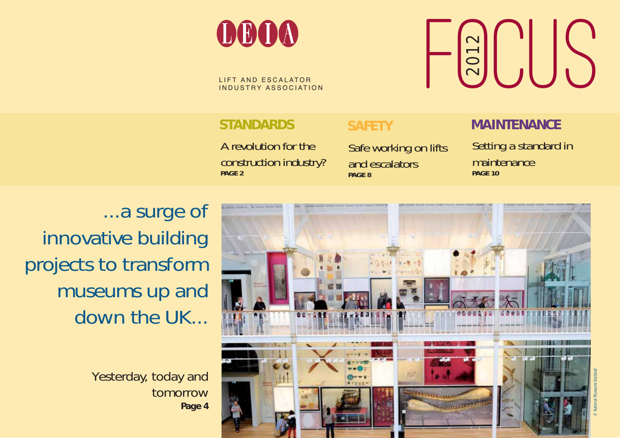

A revolution for the construction industry? **PAGE 2**

Safe working on lifts and escalators **PAGE 8** 

### **STANDARDS SAFETY MAINTENANCE**

Setting a standard in maintenance **PAGE 10**

...a surge of innovative building projects to transform museums up and down the UK...

Yesterday, today and tomorrow **Page 4**



© National Museums Scotland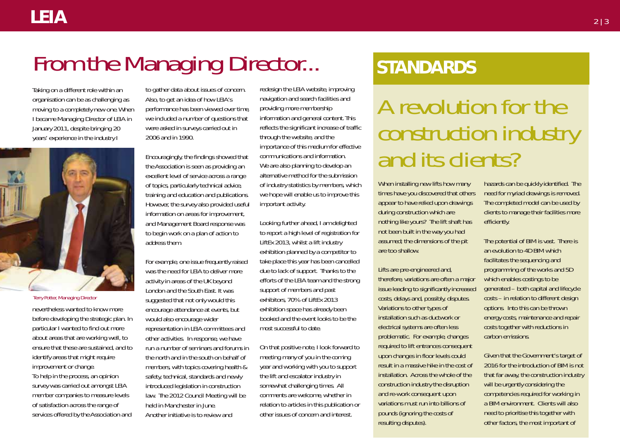## From the Managing Director...

Taking on a different role within an organisation can be as challenging as moving to a completely new one. When I became Managing Director of LEIA in January 2011, despite bringing 20 years' experience in the industry I



#### Terry Potter, Managing Director

nevertheless wanted to know more before developing the strategic plan. In particular I wanted to find out more about areas that are working well, to ensure that these are sustained, and to identify areas that might require improvement or change. To help in the process, an opinion survey was carried out amongst LEIA member companies to measure levels of satisfaction across the range of services offered by the Association and

to gather data about issues of concern. Also, to get an idea of how LEIA's performance has been viewed over time, we included a number of questions that were asked in surveys carried out in 2006 and in 1990.

Encouragingly, the findings showed that the Association is seen as providing an excellent level of service across a range of topics, particularly technical advice, training and education and publications. However, the survey also provided useful information on areas for improvement, and Management Board response was to begin work on a plan of action to address them.

For example, one issue frequently raised was the need for LEIA to deliver more activity in areas of the UK beyond London and the South East. It was suggested that not only would this encourage attendance at events, but would also encourage wider representation in LEIA committees and other activities. In response, we have run a number of seminars and forums in the north and in the south on behalf of members, with topics covering health & safety, technical, standards and newly introduced legislation in construction law. The 2012 Council Meeting will be held in Manchester in June. Another initiative is to review and

redesign the LEIA website, improving navigation and search facilities and providing more membership information and general content. This reflects the significant increase of traffic through the website, and the importance of this medium for effective communications and information. We are also planning to develop an alternative method for the submission of industry statistics by members, which we hope will enable us to improve this important activity.

Looking further ahead, I am delighted to report a high level of registration for LiftEx 2013, whilst a lift industry exhibition planned by a competitor to take place this year has been cancelled due to lack of support. Thanks to the efforts of the LEIA team and the strong support of members and past exhibitors, 70% of LiftEx 2013 exhibition space has already been booked and the event looks to be the most successful to date.

On that positive note, I look forward to meeting many of you in the coming year and working with you to support the lift and escalator industry in somewhat challenging times. All comments are welcome, whether in relation to articles in this publication or other issues of concern and interest.

## **STANDARDS**

A revolution for the construction industry and its clients?

When installing new lifts how many times have you discovered that others appear to have relied upon drawings during construction which are nothing like yours? The lift shaft has not been built in the way you had assumed; the dimensions of the pit are too shallow.

Lifts are pre-engineered and, therefore, variations are often a major issue leading to significantly increased costs, delays and, possibly, disputes. Variations to other types of installation such as ductwork or electrical systems are often less problematic. For example, changes required to lift entrances consequent upon changes in floor levels could result in a massive hike in the cost of installation. Across the whole of the construction industry the disruption and re-work consequent upon variations must run into billions of pounds (ignoring the costs of resulting disputes).

hazards can be quickly identified. The need for myriad drawings is removed. The completed model can be used by clients to manage their facilities more efficiently.

The potential of BIM is vast. There is an evolution to 4D BIM which facilitates the sequencing and programming of the works and 5D which enables costings to be generated – both capital and lifecycle costs – in relation to different design options. Into this can be thrown energy costs, maintenance and repair costs together with reductions in carbon emissions.

Given that the Government's target of 2016 for the introduction of BIM is not that far away, the construction industry will be urgently considering the competencies required for working in a BIM environment. Clients will also need to prioritise this together with other factors, the most important of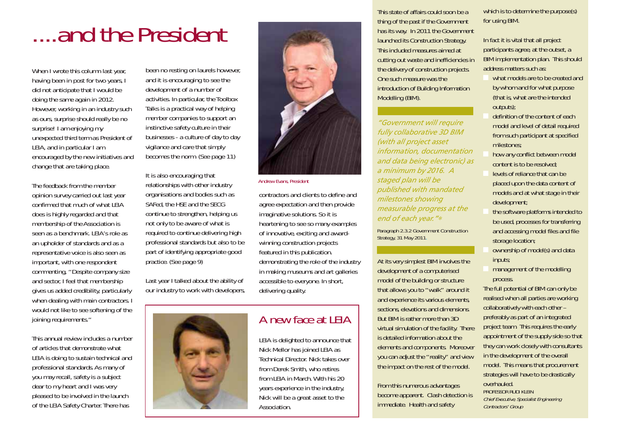# ....and the President

When I wrote this column last year, having been in post for two years, I did not anticipate that I would be doing the same again in 2012. However, working in an industry such as ours, surprise should really be no surprise! I am enjoying my unexpected third term as President of LEIA, and in particular I am encouraged by the new initiatives and change that are taking place.

The feedback from the member opinion survey carried out last year confirmed that much of what LEIA does is highly regarded and that membership of the Association is seen as a benchmark. LEIA's role as an upholder of standards and as a representative voice is also seen as important, with one respondent commenting, "Despite company size and sector, I feel that membership gives us added credibility, particularly when dealing with main contractors. I would not like to see softening of the joining requirements."

This annual review includes a number of articles that demonstrate what LEIA is doing to sustain technical and professional standards. As many of you may recall, safety is a subject dear to my heart and I was very pleased to be involved in the launch of the LEIA Safety Charter. There has

been no resting on laurels however, and it is encouraging to see the development of a number of activities. In particular, the Toolbox Talks is a practical way of helping member companies to support an instinctive safety culture in their businesses - a culture of day to day vigilance and care that simply becomes the norm. (See page 11)

It is also encouraging that relationships with other industry organisations and bodies such as SAFed, the HSE and the SECG continue to strengthen, helping us not only to be aware of what is required to continue delivering high professional standards but also to be part of identifying appropriate good practice. (See page 9)

Last year I talked about the ability of our industry to work with developers,





Andrew Evans, President

contractors and clients to define and agree expectation and then provide imaginative solutions. So it is heartening to see so many examples of innovative, exciting and awardwinning construction projects featured in this publication. demonstrating the role of the industry in making museums and art galleries accessible to everyone. In short, delivering quality.

### A new face at LEIA

LEIA is delighted to announce that Nick Mellor has joined LEIA as Technical Director. Nick takes over from Derek Smith, who retires from LEIA in March. With his 20 years experience in the industry, Nick will be a great asset to the Association.

This state of affairs could soon be a thing of the past if the Government has its way. In 2011 the Government launched its Construction Strategy. This included measures aimed at cutting out waste and inefficiencies in the delivery of construction projects. One such measure was the introduction of Building Information Modelling (BIM).

*"Government will require fully collaborative 3D BIM (with all project asset information, documentation and data being electronic) as a minimum by 2016. A staged plan will be published with mandated milestones showing measurable progress at the end of each year."*<sup>∗</sup>

Paragraph 2.3.2 Government Construction Strategy, 31 May 2011.

At its very simplest BIM involves the development of a computerised model of the building or structure that allows you to "walk" around it and experience its various elements, sections, elevations and dimensions. But BIM is rather more than 3D virtual simulation of the facility. There is detailed information about the elements and components. Moreover you can adjust the "reality" and view the impact on the rest of the model.

From this numerous advantages become apparent. Clash detection is immediate. Health and safety

which is to determine the purpose(s) for using BIM.

In fact it is vital that all project participants agree, at the outset, a BIM implementation plan. This should address matters such as:

- what models are to be created and by whom and for what purpose (that is, what are the intended outputs);
- definition of the content of each model and level of detail required from such participant at specified milestones;
- how any conflict between model content is to be resolved;
- levels of reliance that can be placed upon the data content of models and at what stage in their development;
- the software platforms intended to be used, processes for transferring and accessing model files and file storage location;
- ownership of model(s) and data inputs;
- management of the modelling process.

The full potential of BIM can only be realised when all parties are working collaboratively with each other – preferably as part of an integrated project team. This requires the early appointment of the supply side so that they can work closely with consultants in the development of the overall model. This means that procurement strategies will have to be drastically overhauled.

PROFESSOR RUDI KLEIN Chief Executive, Specialist Engineering Contractors' Group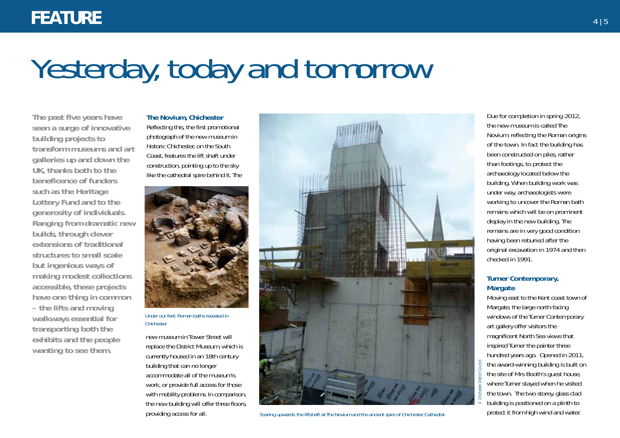# Yesterday, today and tomorrow

**The past five years have seen a surge of innovative building projects to transform museums and art galleries up and down the UK, thanks both to the beneficence of funders such as the Heritage Lottery Fund and to the generosity of individuals. Ranging from dramatic new builds, through clever extensions of traditional structures to small scale but ingenious ways of making modest collections accessible, these projects have one thing in common – the lifts and moving walkways essential for transporting both the exhibits and the people wanting to see them.** 

**The Novium, Chichester** Reflecting this, the first promotional photograph of the new museum in historic Chichester, on the South Coast, features the lift shaft under construction, pointing up to the sky like the cathedral spire behind it. The



Under our feet: Roman baths revealed in Chichester

new museum in Tower Street will replace the District Museum, which is currently housed in an 18th century building that can no longer accommodate all of the museum's work, or provide full access for those with mobility problems. In comparison, the new building will offer three floors, providing access for all.



Soaring upwards: the liftshaft at The Novium and the ancient spire of Chichester Cathedral

Due for completion in spring 2012, the new museum is called The Novium, reflecting the Roman origins of the town. In fact the building has been constructed on piles, rather than footings, to protect the archaeology located below the building. When building work was under way, archaeologists were working to uncover the Roman bath remains which will be on prominent display in the new building. The remains are in very good condition having been reburied after the original excavation in 1974 and then checked in 1991.

#### **Turner Contemporary, Margate**

Moving east to the Kent coast town of Margate, the large north-facing windows of the Turner Contemporary art gallery offer visitors the magnificent North Sea views that inspired Turner the painter three hundred years ago. Opened in 2011, the award-winning building is built on the site of Mrs Booth's guest house, where Turner stayed when he visited the town. The two storey, glass clad building is positioned on a plinth to protect it from high wind and water.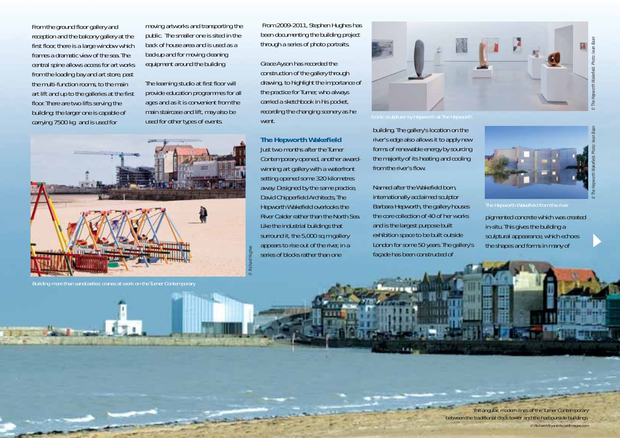From the ground floor gallery and reception and the balcony gallery at the first floor, there is a large window which frames a dramatic view of the sea. The central spine allows access for art works from the loading bay and art store, past the multi-function rooms, to the main art lift and up to the galleries at the first floor. There are two lifts serving the building: the larger one is capable of carrying 7500 kg and is used for

Building more than sandcastles: cranes at work on the Turner Contemporary

moving artworks and transporting the public. The smaller one is sited in the back of house area and is used as a backup and for moving cleaning equipment around the building

The learning studio at first floor will provide education programmes for all ages and as it is convenient from the main staircase and lift, may also be used for other types of events.

From 2009-2011, Stephen Hughes has been documenting the building project through a series of photo portraits.

Grace Ayson has recorded the construction of the gallery through drawing, to highlight the importance of the practice for Turner, who always carried a sketchbook in his pocket, recording the changing scenery as he went.

**The Hepworth Wakefield** Just two months after the Turner Contemporary opened, another awardwinning art gallery with a waterfront setting opened some 320 kilometres away. Designed by the same practice, David Chipperfield Architects, The Hepworth Wakefield overlooks the River Calder rather than the North Sea. Like the industrial buildings that surround it, the 5,000 sq m gallery appears to rise out of the river, in a series of blocks rather than one

© Richard Hughes



building. The gallery's location on the river's edge also allows it to apply new forms of renewable energy by sourcing the majority of its heating and cooling from the river's flow.

Named after the Wakefield born, internationally acclaimed sculptor Barbara Hepworth, the gallery houses the core collection of 40 of her works and is the largest purpose built exhibition space to be built outside London for some 50 years. The gallery's façade has been constructed of



pigmented concrete which was created in-situ. This gives the building a sculptural appearance, which echoes

the shapes and forms in many of

© The Hepworth Wakefield. Photo: Iwan Baan

The angular, modern lines of the Turner Contemporary

between the traditional clock tower and the harbourside buildings.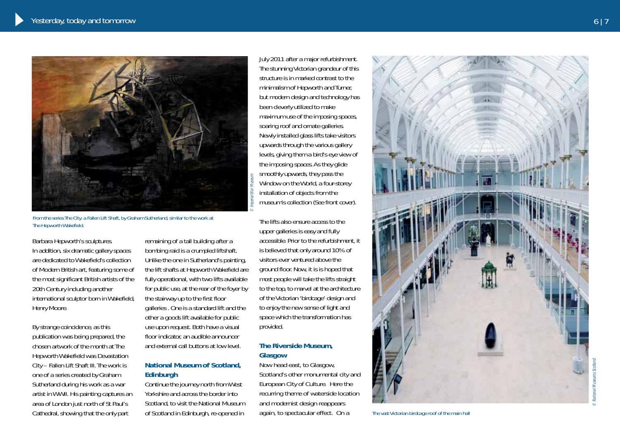

From the series The City: a Fallen Lift Shaft, by Graham Sutherland, similar to the work at The Hepworth Wakefield.

Barbara Hepworth's sculptures. In addition, six dramatic gallery spaces are dedicated to Wakefield's collection of Modern British art, featuring some of the most significant British artists of the 20th Century including another international sculptor born in Wakefield, Henry Moore.

By strange coincidence, as this publication was being prepared, the chosen artwork of the month at The Hepworth Wakefield was Devastation City – Fallen Lift Shaft III. The work is one of a series created by Graham Sutherland during his work as a war artist in WWII. His painting captures an area of London just north of St Paul's Cathedral, showing that the only part

remaining of a tall building after a bombing raid is a crumpled liftshaft. Unlike the one in Sutherland's painting, the lift shafts at Hepworth Wakefield are fully operational, with two lifts available for public use, at the rear of the foyer by the stairway up to the first floor galleries . One is a standard lift and the other a goods lift available for public use upon request. Both have a visual floor indicator, an audible announcer and external call buttons at low level.

#### **National Museum of Scotland, Edinburgh**

Continue the journey north from West Yorkshire and across the border into Scotland, to visit the National Museum of Scotland in Edinburgh, re-opened in

July 2011 after a major refurbishment. The stunning Victorian grandeur of this structure is in marked contrast to the minimalism of Hepworth and Turner, but modern design and technology has been cleverly utilized to make maximum use of the imposing spaces, soaring roof and ornate galleries. Newly installed glass lifts take visitors upwards through the various gallery levels, giving them a bird's eye view of the imposing spaces. As they glide smoothly upwards, they pass the Window on the World, a four-storey installation of objects from the museum's collection (See front cover).

The lifts also ensure access to the upper galleries is easy and fully accessible. Prior to the refurbishment, it is believed that only around 10% of visitors ever ventured above the ground floor. Now, it is is hoped that most people will take the lifts straight to the top, to marvel at the architecture of the Victorian 'birdcage' design and to enjoy the new sense of light and space which the transformation has provided.

#### **The Riverside Museum, Glasgow**

Now head east, to Glasgow, Scotland's other monumental city and European City of Culture. Here the recurring theme of waterside location and modernist design reappears again, to spectacular effect. On a



The vast Victorian birdcage roof of the main hall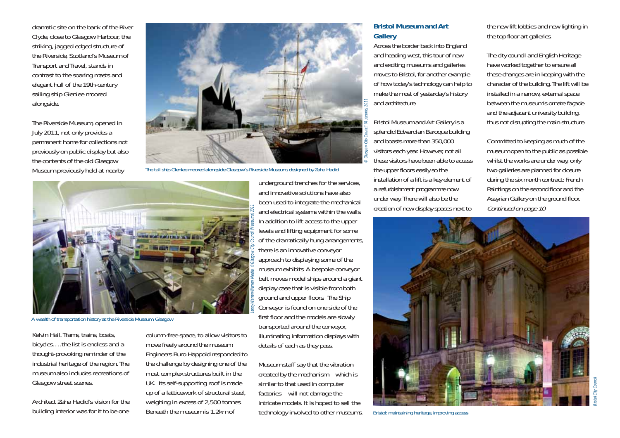dramatic site on the bank of the River Clyde, close to Glasgow Harbour, the striking, jagged edged structure of the Riverside, Scotland's Museum of Transport and Travel, stands in contrast to the soaring masts and elegant hull of the 19th-century sailing ship Glenlee moored alongside.

The Riverside Museum, opened in July 2011, not only provides a permanent home for collections not previously on public display but also the contents of the old Glasgow Museum previously held at nearby



The tall ship Glenlee moored alongside Glasgow's Riverside Museum, designed by Zaha Hadid



A wealth of transportation history at the Riverside Museum, Glasgow

Kelvin Hall. Trams, trains, boats, bicycles….the list is endless and a thought-provoking reminder of the industrial heritage of the region. The museum also includes recreations of Glasgow street scenes.

Architect Zaha Hadid's vision for the building interior was for it to be one

column-free space, to allow visitors to move freely around the museum. Engineers Buro Happold responded to the challenge by designing one of the most complex structures built in the UK. Its self-supporting roof is made up of a latticework of structural steel, weighing in excess of 2,500 tonnes. Beneath the museum is 1.2km of whistochnology involved to other museums. Whistol: maintaining heritage, improving access

underground trenches for the services, and innovative solutions have also been used to integrate the mechanical and electrical systems within the walls. In addition to lift access to the upper levels and lifting equipment for some of the dramatically hung arrangements, there is an innovative conveyor approach to displaying some of the museum exhibits. A bespoke conveyor belt moves model ships around a giant display case that is visible from both ground and upper floors. The Ship Conveyor is found on one side of the first floor and the models are slowly transported around the conveyor, illuminating information displays with details of each as they pass.

Museum staff say that the vibration created by the mechanism – which is similar to that used in computer factories – will not damage the intricate models. It is hoped to sell the

#### **Bristol Museum and Art Gallery**

Across the border back into England and heading west, this tour of new and exciting museums and galleries moves to Bristol, for another example of how today's technology can help to make the most of yesterday's history and architecture.

Bristol Museum and Art Gallery is a splendid Edwardian Baroque building and boasts more than 350,000 visitors each year. However, not all these visitors have been able to access the upper floors easily so the installation of a lift is a key element of a refurbishment programme now under way. There will also be the creation of new display spaces next to

the new lift lobbies and new lighting in the top floor art galleries.

The city council and English Heritage have worked together to ensure all these changes are in keeping with the character of the building. The lift will be installed in a narrow, external space between the museum's ornate façade and the adjacent university building, thus not disrupting the main structure.

Committed to keeping as much of the museum open to the public as possible whilst the works are under way, only two galleries are planned for closure during the six month contract: French Paintings on the second floor and the Assyrian Gallery on the ground floor. Continued on page 10

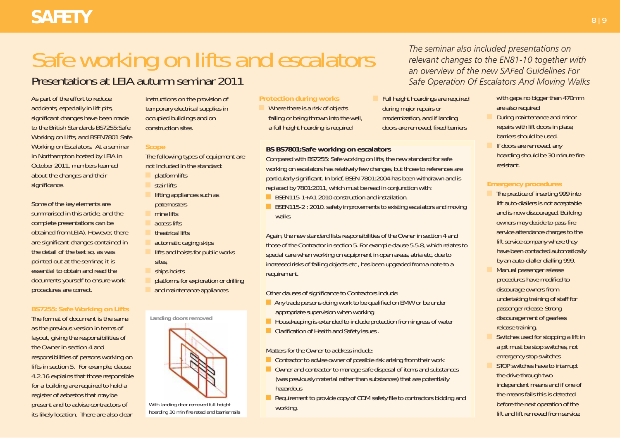## **SAFETY** 8 | 9

# Safe working on lifts and escalators

### Presentations at LEIA autumn seminar 2011

As part of the effort to reduce accidents, especially in lift pits, significant changes have been made to the British Standards BS7255:Safe Working on Lifts, and BSEN7801 Safe Working on Escalators. At a seminar in Northampton hosted by LEIA in October 2011, members learned about the changes and their significance.

Some of the key elements are summarised in this article, and the complete presentations can be obtained from LEIA). However, there are significant changes contained in the detail of the text so, as was pointed out at the seminar, it is essential to obtain and read the documents yourself to ensure work procedures are correct.

#### **BS7255: Safe Working on Lifts**

The format of document is the same as the previous version in terms of layout, giving the responsibilities of the Owner in section 4 and responsibilities of persons working on lifts in section 5. For example, clause 4.2.16 explains that those responsible for a building are required to hold a register of asbestos that may be present and to advise contractors of its likely location. There are also clear

instructions on the provision of temporary electrical supplies in occupied buildings and on construction sites.

#### **Scope**

The following types of equipment are not included in the standard:

- platform lifts
- stair lifts
- lifting appliances such as **paternosters**
- mine lifts
- access lifts
- theatrical lifts
- automatic caging skips
- lifts and hoists for public works sites,
- ships hoists
- platforms for exploration or drilling
- and maintenance appliances.



With landing door removed full height hoarding 30 min fire rated and barrier rails

#### **Protection during works**

Where there is a risk of objects falling or being thrown into the well, a full height hoarding is required

#### **BS BS7801:Safe working on escalators**

Compared with BS7255: Safe working on lifts, the new standard for safe working on escalators has relatively few changes, but those to references are particularly significant. In brief, BSEN 7801:2004 has been withdrawn and is replaced by 7801:2011, which must be read in conjunction with:

- **n** BSEN115-1+A1 2010 construction and installation.
- BSEN115-2 : 2010. safety improvements to existing escalators and moving walks.

Again, the new standard lists responsibilities of the Owner in section 4 and those of the Contractor in section 5. For example clause 5.5.8, which relates to special care when working on equipment in open areas, atria etc, due to increased risks of falling objects etc, has been upgraded from a note to a requirement.

Other clauses of significance to Contractors include:

- **n** Any trade persons doing work to be qualified on EMW or be under appropriate supervision when working
- **n** Housekeeping is extended to include protection from ingress of water
- **n Clarification of Health and Safety issues.**

Matters for the Owner to address include:

- $\Box$  Contractor to advise owner of possible risk arising from their work
- n Owner and contractor to manage safe disposal of items and substances (was previously material rather than substances) that are potentially hazardous
- **n** Requirement to provide copy of CDM safety file to contractors bidding and working.

*The seminar also included presentations on relevant changes to the EN81-10 together with an overview of the new SAFed Guidelines For Safe Operation Of Escalators And Moving Walks*

Full height hoardings are required during major repairs or modernization, and if landing doors are removed, fixed barriers

with gaps no bigger than 470mm are also required

- During maintenance and minor repairs with lift doors in place, barriers should be used.
- If doors are removed, any hoarding should be 30 minute fire resistant.

#### **Emergency procedures**

- The practice of inserting 999 into lift auto-diallers is not acceptable and is now discouraged. Building owners may decide to pass fire service attendance charges to the lift service company where they have been contacted automatically by an auto-dialler dialling 999.
- Manual passenger release procedures have modified to discourage owners from undertaking training of staff for passenger release. Strong discouragement of gearless release training.
- Switches used for stopping a lift in a pit must be stop switches, not emergency stop switches.
- STOP switches have to interrupt the drive through two independent means and if one of the means fails this is detected before the next operation of the lift and lift removed from service.

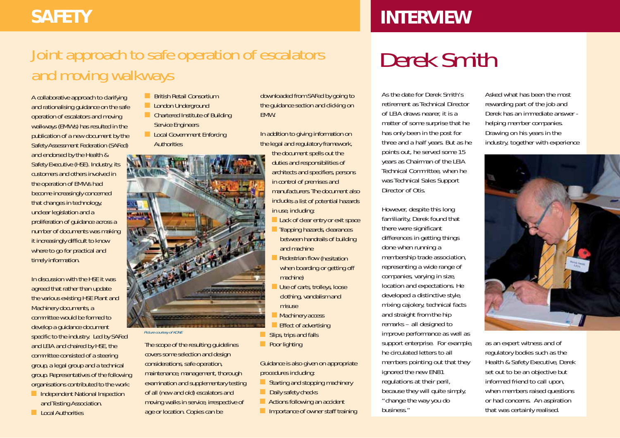## **SAFETY INTERVIEW**

## Joint approach to safe operation of escalators and moving walkways

A collaborative approach to clarifying and rationalising guidance on the safe operation of escalators and moving walkways (EMWs) has resulted in the publication of a new document by the Safety Assessment Federation (SAFed) and endorsed by the Health & Safety Executive (HSE). Industry, its customers and others involved in the operation of EMWs had become increasingly concerned that changes in technology, unclear legislation and a proliferation of guidance across a number of documents was making it increasingly difficult to know where to go for practical and timely information.

In discussion with the HSE it was agreed that rather than update the various existing HSE Plant and Machinery documents, a committee would be formed to develop a guidance document specific to the industry. Led by SAFed and LEIA and chaired by HSE, the committee consisted of a steering group, a legal group and a technical group. Representatives of the following organisations contributed to the work:

- **n** Independent National Inspection and Testing Association.
- **n** Local Authorities
- **n** British Retail Consortium
- **n** London Underground
- n Chartered Institute of Building Service Engineers
- **n** Local Government Enforcing **Authorities**



#### Picture courtesy of KONE

The scope of the resulting guidelines covers some selection and design considerations, safe operation, maintenance, management, thorough examination and supplementary testing of all (new and old) escalators and moving walks in service, irrespective of age or location. Copies can be

downloaded from SAFed by going to the guidance section and clicking on **EMW** 

In addition to giving information on the legal and regulatory framework, the document spells out the duties and responsibilities of architects and specifiers, persons in control of premises and manufacturers. The document also includes a list of potential hazards in use, including:

- **n** Lack of clear entry or exit space
- Trapping hazards, clearances between handrails of building and machine
- **Pedestrian flow (hesitation** when boarding or getting off machine)
- Use of carts, trolleys, loose clothing, vandalism and misuse
	- **Machinery access**
- Effect of advertising
- Slips, trips and falls
- **n** Poor lighting

Guidance is also given on appropriate procedures including:

- $\blacksquare$  Starting and stopping machinery
- $\Box$  Daily safety checks
- **n** Actions following an accident
	- **n** Importance of owner staff training

## Derek Smith

As the date for Derek Smith's retirement as Technical Director of LEIA draws nearer, it is a matter of some surprise that he has only been in the post for three and a half years. But as he points out, he served some 15 years as Chairman of the LEIA Technical Committee, when he was Technical Sales Support Director of Otis.

However, despite this long familiarity, Derek found that there were significant differences in getting things done when running a membership trade association, representing a wide range of companies, varying in size, location and expectations. He developed a distinctive style, mixing cajolery, technical facts and straight from the hip remarks – all designed to improve performance as well as support enterprise. For example, he circulated letters to all members pointing out that they ignored the new EN81 regulations at their peril, because they will quite simply, "change the way you do business."

Asked what has been the most rewarding part of the job and Derek has an immediate answer helping member companies. Drawing on his years in the industry, together with experience



as an expert witness and of regulatory bodies such as the Health & Safety Executive, Derek set out to be an objective but informed friend to call upon, when members raised questions or had concerns. An aspiration that was certainly realised.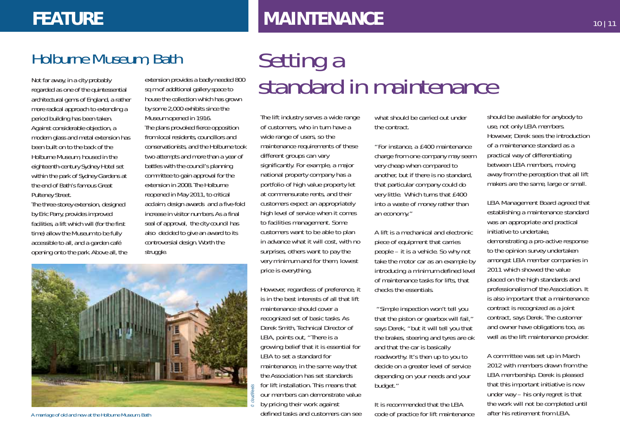### **FEATURE**

## **MAINTENANCE**

### Holburne Museum, Bath

architectural gems of England, a rather more radical approach to extending a period building has been taken. Against considerable objection, a modern glass and metal extension has been built on to the back of the Holburne Museum, housed in the eighteenth-century Sydney Hotel set within the park of Sydney Gardens at the end of Bath's famous Great Pulteney Street.

The three-storey extension, designed by Eric Parry, provides improved facilities, a lift which will (for the first time) allow the Museum to be fully accessible to all, and a garden café opening onto the park. Above all, the

extension provides a badly needed 800 sq m of additional gallery space to house the collection which has grown by some 2,000 exhibits since the Museum opened in 1916. The plans provoked fierce opposition from local residents, councillors and conservationists, and the Holburne took two attempts and more than a year of battles with the council's planning committee to gain approval for the extension in 2008. The Holburne reopened in May 2011, to critical acclaim, design awards and a five-fold increase in visitor numbers. As a final seal of approval, the city council has also decided to give an award to its controversial design. Worth the struggle.

## Setting a Not far away, in a city probably extension provides a badly needed 800  $\sigma$  stand and  $\sigma$  in maintenance of the quintessential sq m of additional gallery space to standed  $\sigma$  in maintenal  $\sigma$

The lift industry serves a wide range of customers, who in turn have a wide range of users, so the maintenance requirements of these different groups can vary significantly. For example, a major national property company has a portfolio of high value property let at commensurate rents, and their customers expect an appropriately high level of service when it comes to facilities management. Some customers want to be able to plan in advance what it will cost, with no surprises, others want to pay the very minimum and for them, lowest price is everything.

However, regardless of preference, it is in the best interests of all that lift maintenance should cover a recognized set of basic tasks. As Derek Smith, Technical Director of LEIA, points out, "There is a growing belief that it is essential for LEIA to set a standard for maintenance, in the same way that the Association has set standards for lift installation. This means that our members can demonstrate value by pricing their work against defined tasks and customers can see what should be carried out under the contract.

"For instance, a £400 maintenance charge from one company may seem very cheap when compared to another, but if there is no standard, that particular company could do very little. Which turns that £400 into a waste of money rather than an economy."

A lift is a mechanical and electronic piece of equipment that carries people – it is a vehicle. So why not take the motor car as an example by introducing a minimum defined level of maintenance tasks for lifts, that checks the essentials.

"Simple inspection won't tell you that the piston or gearbox will fail," says Derek, "but it will tell you that the brakes, steering and tyres are ok and that the car is basically roadworthy. It's then up to you to decide on a greater level of service depending on your needs and your budget."

It is recommended that the LEIA code of practice for lift maintenance should be available for anybody to use, not only LEIA members. However, Derek sees the introduction of a maintenance standard as a practical way of differentiating between LEIA members, moving away from the perception that all lift makers are the same, large or small.

LEIA Management Board agreed that establishing a maintenance standard was an appropriate and practical initiative to undertake, demonstrating a pro-active response to the opinion survey undertaken amongst LEIA member companies in 2011 which showed the value placed on the high standards and professionalism of the Association. It is also important that a maintenance contract is recognized as a joint contract, says Derek. The customer and owner have obligations too, as well as the lift maintenance provider.

A committee was set up in March 2012 with members drawn from the LEIA membership. Derek is pleased that this important initiative is now under way – his only regret is that the work will not be completed until after his retirement from LFIA



A marriage of old and new at the Holburne Museum, Bath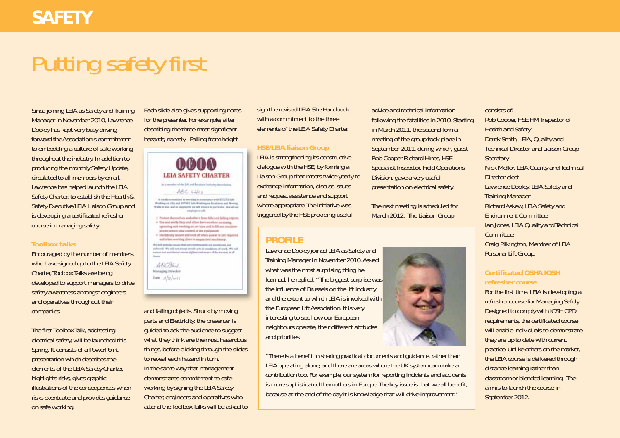# Putting safety first

Since joining LEIA as Safety and Training Manager in November 2010, Lawrence Dooley has kept very busy driving forward the Association's commitment to embedding a culture of safe working throughout the industry. In addition to producing the monthly Safety Update, circulated to all members by email, Lawrence has helped launch the LEIA Safety Charter, to establish the Health & Safety Executive/LEIA Liaison Group and is developing a certificated refresher course in managing safety.

#### **Toolbox talks**

Encouraged by the number of members who have signed up to the LEIA Safety Charter, Toolbox Talks are being developed to support managers to drive safety awareness amongst engineers and operatives throughout their companies.

The first Toolbox Talk, addressing electrical safety, will be launched this Spring. It consists of a PowerPoint presentation which describes the elements of the LEIA Safety Charter, highlights risks, gives graphic illustrations of the consequences when risks eventuate and provides guidance on safe working.

Each slide also gives supporting notes for the presenter. For example, after describing the three most significant hazards, namely: Falling from height



and falling objects, Struck by moving parts and Electricity, the presenter is guided to ask the audience to suggest what they think are the most hazardous things, before clicking through the slides to reveal each hazard in turn. In the same way that management demonstrates commitment to safe working by signing the LEIA Safety Charter, engineers and operatives who attend the Toolbox Talks will be asked to

sign the revised LEIA Site Handbook with a commitment to the three elements of the LEIA Safety Charter.

#### **HSE/LEIA liaison Group**

LEIA is strengthening its constructive dialogue with the HSE, by forming a Liaison Group that meets twice yearly to exchange information, discuss issues and request assistance and support where appropriate. The initiative was triggered by the HSE providing useful

### **PROFILE**

Lawrence Dooley joined LEIA as Safety and Training Manager in November 2010. Asked what was the most surprising thing he learned, he replied, "The biggest surprise was the influence of Brussels on the lift industry and the extent to which LEIA is involved with the European Lift Association. It is very interesting to see how our European neighbours operate, their different attitudes and priorities.

"There is a benefit in sharing practical documents and guidance, rather than LEIA operating alone, and there are areas where the UK system can make a contribution too. For example, our system for reporting incidents and accidents is more sophisticated than others in Europe. The key issue is that we all benefit, because at the end of the day it is knowledge that will drive improvement."

advice and technical information following the fatalities in 2010. Starting in March 2011, the second formal meeting of the group took place in September 2011, during which, guest Rob Cooper Richard Hines, HSE Specialist Inspector, Field Operations Division, gave a very useful presentation on electrical safety.

The next meeting is scheduled for March 2012. The Liaison Group



consists of: Rob Cooper, HSE HM Inspector of Health and Safety Derek Smith, LEIA, Quality and Technical Director and Liaison Group **Secretary** Nick Mellor, LEIA Quality and Technical Director elect Lawrence Dooley, LEIA Safety and Training Manager Richard Askew, LEIA Safety and Environment Committee Ian Jones, LEIA Quality and Technical **Committee** Craig Pilkington, Member of LEIA Personal Lift Group.

#### **Certificated OSHA IOSH refresher course**

For the first time, LEIA is developing a refresher course for Managing Safely. Designed to comply with IOSH CPD requirements, the certificated course will enable individuals to demonstrate they are up to date with current practice. Unlike others on the market, the LEIA course is delivered through distance learning rather than classroom or blended learning. The aim is to launch the course in September 2012.